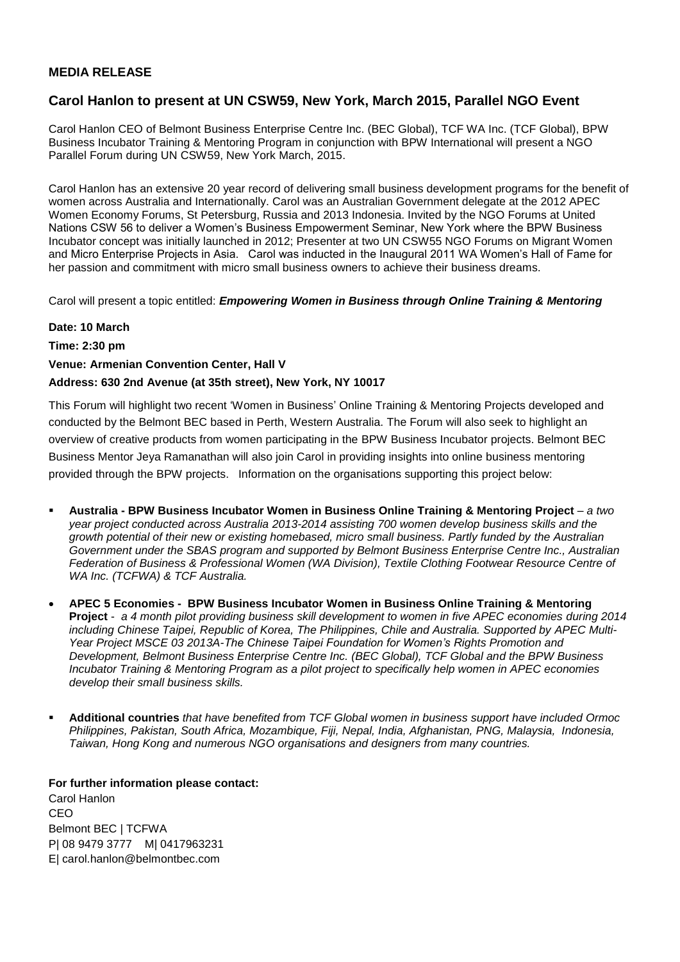## **MEDIA RELEASE**

# **Carol Hanlon to present at UN CSW59, New York, March 2015, Parallel NGO Event**

Carol Hanlon CEO of Belmont Business Enterprise Centre Inc. (BEC Global), TCF WA Inc. (TCF Global), BPW Business Incubator Training & Mentoring Program in conjunction with BPW International will present a NGO Parallel Forum during UN CSW59, New York March, 2015.

Carol Hanlon has an extensive 20 year record of delivering small business development programs for the benefit of women across Australia and Internationally. Carol was an Australian Government delegate at the 2012 APEC Women Economy Forums, St Petersburg, Russia and 2013 Indonesia. Invited by the NGO Forums at United Nations CSW 56 to deliver a Women's Business Empowerment Seminar, New York where the BPW Business Incubator concept was initially launched in 2012; Presenter at two UN CSW55 NGO Forums on Migrant Women and Micro Enterprise Projects in Asia. Carol was inducted in the Inaugural 2011 WA Women's Hall of Fame for her passion and commitment with micro small business owners to achieve their business dreams.

Carol will present a topic entitled: *Empowering Women in Business through Online Training & Mentoring* 

### **Date: 10 March**

**Time: 2:30 pm**

## **Venue: Armenian Convention Center, Hall V**

## **Address: 630 2nd Avenue (at 35th street), New York, NY 10017**

This Forum will highlight two recent 'Women in Business' Online Training & Mentoring Projects developed and conducted by the Belmont BEC based in Perth, Western Australia. The Forum will also seek to highlight an overview of creative products from women participating in the BPW Business Incubator projects. Belmont BEC Business Mentor Jeya Ramanathan will also join Carol in providing insights into online business mentoring provided through the BPW projects. Information on the organisations supporting this project below:

- **Australia - BPW Business Incubator Women in Business Online Training & Mentoring Project** *a two year project conducted across Australia 2013-2014 assisting 700 women develop business skills and the growth potential of their new or existing homebased, micro small business. Partly funded by the Australian Government under the SBAS program and supported by Belmont Business Enterprise Centre Inc., Australian Federation of Business & Professional Women (WA Division), Textile Clothing Footwear Resource Centre of WA Inc. (TCFWA) & TCF Australia.*
- **APEC 5 Economies BPW Business Incubator Women in Business Online Training & Mentoring Project** - *a 4 month pilot providing business skill development to women in five APEC economies during 2014 including Chinese Taipei, Republic of Korea, The Philippines, Chile and Australia. Supported by APEC Multi-Year Project MSCE 03 2013A-The Chinese Taipei Foundation for Women's Rights Promotion and Development, Belmont Business Enterprise Centre Inc. (BEC Global), TCF Global and the BPW Business Incubator Training & Mentoring Program as a pilot project to specifically help women in APEC economies develop their small business skills.*
- **Additional countries** *that have benefited from TCF Global women in business support have included Ormoc Philippines, Pakistan, South Africa, Mozambique, Fiji, Nepal, India, Afghanistan, PNG, Malaysia, Indonesia, Taiwan, Hong Kong and numerous NGO organisations and designers from many countries.*

**For further information please contact:** Carol Hanlon CEO Belmont BEC | TCFWA P| 08 9479 3777 M| 0417963231 E| carol.hanlon@belmontbec.com